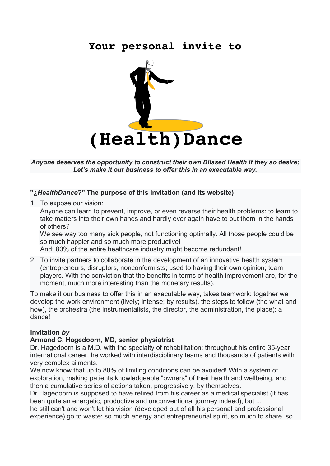# **Your personal invite to**



*Anyone deserves the opportunity to construct their own Blissed Health if they so desire; Let's make it our business to offer this in an executable way.*

#### **"¿***HealthDance***?" The purpose of this invitation (and its website)**

1. To expose our vision:

Anyone can learn to prevent, improve, or even reverse their health problems: to learn to take matters into their own hands and hardly ever again have to put them in the hands of others?

We see way too many sick people, not functioning optimally. All those people could be so much happier and so much more productive!

And: 80% of the entire healthcare industry might become redundant!

2. To invite partners to collaborate in the development of an innovative health system (entrepreneurs, disruptors, nonconformists; used to having their own opinion; team players. With the conviction that the benefits in terms of health improvement are, for the moment, much more interesting than the monetary results).

To make it our business to offer this in an executable way, takes teamwork: together we develop the work environment (lively; intense; by results), the steps to follow (the what and how), the orchestra (the instrumentalists, the director, the administration, the place): a dance!

#### **Invitation** *by*

#### **Armand C. Hagedoorn, MD, senior physiatrist**

Dr. Hagedoorn is a M.D. with the specialty of rehabilitation; throughout his entire 35-year international career, he worked with interdisciplinary teams and thousands of patients with very complex ailments.

We now know that up to 80% of limiting conditions can be avoided! With a system of exploration, making patients knowledgeable "owners" of their health and wellbeing, and then a cumulative series of actions taken, progressively, by themselves.

Dr Hagedoorn is supposed to have retired from his career as a medical specialist (it has been quite an energetic, productive and unconventional journey indeed), but ...

he still can't and won't let his vision (developed out of all his personal and professional experience) go to waste: so much energy and entrepreneurial spirit, so much to share, so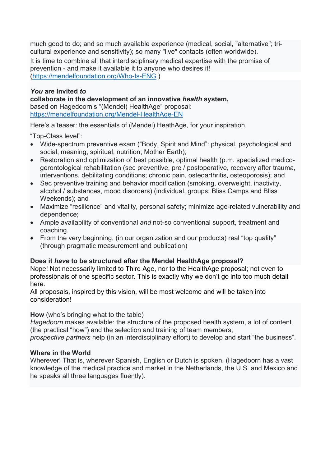much good to do; and so much available experience (medical, social, "alternative"; tricultural experience and sensitivity); so many "live" contacts (often worldwide). It is time to combine all that interdisciplinary medical expertise with the promise of prevention - and make it available it to anyone who desires it! (https://mendelfoundation.org/Who-Is-ENG )

#### *You* **are Invited** *to* **collaborate in the development of an innovative** *health* **system,**  based on Hagedoorn's "(Mendel) HealthAge" proposal: https://mendelfoundation.org/Mendel-HealthAge-EN

Here's a teaser: the essentials of (Mendel) HeathAge, for your inspiration.

"Top-Class level":

- Wide-spectrum preventive exam ("Body, Spirit and Mind": physical, psychological and social; meaning, spiritual; nutrition; Mother Earth);
- Restoration and optimization of best possible, optimal health (p.m. specialized medicogerontological rehabilitation (sec preventive, pre / postoperative, recovery after trauma, interventions, debilitating conditions; chronic pain, osteoarthritis, osteoporosis); and
- Sec preventive training and behavior modification (smoking, overweight, inactivity, alcohol / substances, mood disorders) (individual, groups; Bliss Camps and Bliss Weekends); and
- Maximize "resilience" and vitality, personal safety; minimize age-related vulnerability and dependence;
- Ample availability of conventional *and* not-so conventional support, treatment and coaching.
- From the very beginning, (in our organization and our products) real "top quality" (through pragmatic measurement and publication)

## **Does it** *have* **to be structured after the Mendel HealthAge proposal?**

Nope! Not necessarily limited to Third Age, nor to the HealthAge proposal; not even to professionals of one specific sector. This is exactly why we don't go into too much detail here.

All proposals, inspired by this vision, will be most welcome and will be taken into consideration!

## **How** (who's bringing what to the table)

*Hagedoorn* makes available: the structure of the proposed health system, a lot of content (the practical "how") and the selection and training of team members;

*prospective partners* help (in an interdisciplinary effort) to develop and start "the business".

## **Where in the World**

Wherever! That is, wherever Spanish, English or Dutch is spoken. (Hagedoorn has a vast knowledge of the medical practice and market in the Netherlands, the U.S. and Mexico and he speaks all three languages fluently).